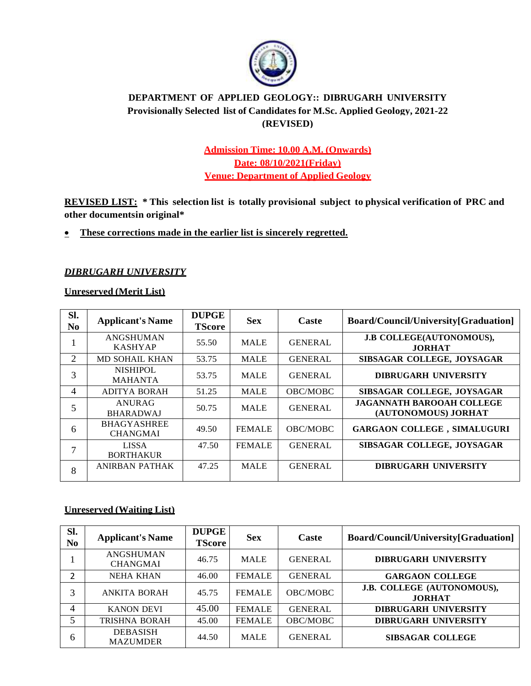

# **DEPARTMENT OF APPLIED GEOLOGY:: DIBRUGARH UNIVERSITY Provisionally Selected list of Candidates for M.Sc. Applied Geology, 2021-22 (REVISED)**

# **Admission Time: 10.00 A.M. (Onwards) Date: 08/10/2021(Friday) Venue: Department of Applied Geology**

**REVISED LIST: \* This selection list is totally provisional subject to physical verification of PRC and other documentsin original\***

#### • **These corrections made in the earlier list is sincerely regretted.**

#### *DIBRUGARH UNIVERSITY*

#### **Unreserved (Merit List)**

| Sl.<br>N <sub>0</sub> | <b>Applicant's Name</b>               | <b>DUPGE</b><br><b>TScore</b> | <b>Sex</b>    | Caste           | Board/Council/University[Graduation]                    |
|-----------------------|---------------------------------------|-------------------------------|---------------|-----------------|---------------------------------------------------------|
|                       | <b>ANGSHUMAN</b><br><b>KASHYAP</b>    | 55.50                         | <b>MALE</b>   | <b>GENERAL</b>  | <b>J.B COLLEGE(AUTONOMOUS),</b><br><b>JORHAT</b>        |
| 2                     | <b>MD SOHAIL KHAN</b>                 | 53.75                         | <b>MALE</b>   | <b>GENERAL</b>  | SIBSAGAR COLLEGE, JOYSAGAR                              |
| 3                     | <b>NISHIPOL</b><br><b>MAHANTA</b>     | 53.75                         | <b>MALE</b>   | <b>GENERAL</b>  | <b>DIBRUGARH UNIVERSITY</b>                             |
| $\overline{4}$        | ADITYA BORAH                          | 51.25                         | <b>MALE</b>   | <b>OBC/MOBC</b> | SIBSAGAR COLLEGE, JOYSAGAR                              |
| 5                     | ANURAG<br><b>BHARADWAJ</b>            | 50.75                         | <b>MALE</b>   | <b>GENERAL</b>  | <b>JAGANNATH BAROOAH COLLEGE</b><br>(AUTONOMOUS) JORHAT |
| 6                     | <b>BHAGYASHREE</b><br><b>CHANGMAI</b> | 49.50                         | <b>FEMALE</b> | <b>OBC/MOBC</b> | <b>GARGAON COLLEGE, SIMALUGURI</b>                      |
|                       | <b>LISSA</b><br><b>BORTHAKUR</b>      | 47.50                         | <b>FEMALE</b> | <b>GENERAL</b>  | SIBSAGAR COLLEGE, JOYSAGAR                              |
| 8                     | ANIRBAN PATHAK                        | 47.25                         | <b>MALE</b>   | <b>GENERAL</b>  | <b>DIBRUGARH UNIVERSITY</b>                             |

#### **Unreserved (Waiting List)**

| Sl.<br>N <sub>0</sub> | <b>Applicant's Name</b>             | <b>DUPGE</b><br><b>TScore</b> | <b>Sex</b>    | <b>Caste</b>    | Board/Council/University[Graduation]        |
|-----------------------|-------------------------------------|-------------------------------|---------------|-----------------|---------------------------------------------|
|                       | <b>ANGSHUMAN</b><br><b>CHANGMAI</b> | 46.75                         | <b>MALE</b>   | <b>GENERAL</b>  | <b>DIBRUGARH UNIVERSITY</b>                 |
| $\overline{2}$        | <b>NEHA KHAN</b>                    | 46.00                         | <b>FEMALE</b> | <b>GENERAL</b>  | <b>GARGAON COLLEGE</b>                      |
|                       | <b>ANKITA BORAH</b>                 | 45.75                         | <b>FEMALE</b> | <b>OBC/MOBC</b> | J.B. COLLEGE (AUTONOMOUS),<br><b>JORHAT</b> |
| 4                     | <b>KANON DEVI</b>                   | 45.00                         | <b>FEMALE</b> | <b>GENERAL</b>  | <b>DIBRUGARH UNIVERSITY</b>                 |
| 5                     | <b>TRISHNA BORAH</b>                | 45.00                         | <b>FEMALE</b> | OBC/MOBC        | <b>DIBRUGARH UNIVERSITY</b>                 |
| 6                     | <b>DEBASISH</b><br><b>MAZUMDER</b>  | 44.50                         | <b>MALE</b>   | <b>GENERAL</b>  | <b>SIBSAGAR COLLEGE</b>                     |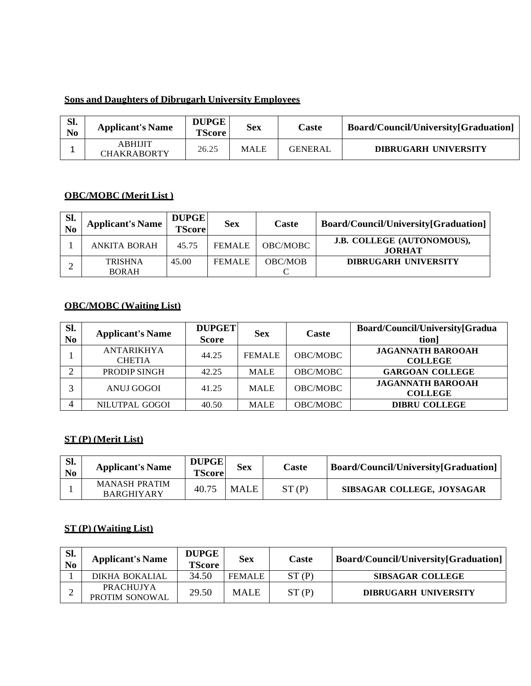# **Sons and Daughters of Dibrugarh University Employees**

| Sl.<br>N <sub>0</sub> | <b>Applicant's Name</b>       | <b>DUPGE</b><br><b>TScore</b> | <b>Sex</b>  | Caste          | Board/Council/University[Graduation] |
|-----------------------|-------------------------------|-------------------------------|-------------|----------------|--------------------------------------|
|                       | ABHIJIT<br><b>CHAKRABORTY</b> | 26.25                         | <b>MALE</b> | <b>GENERAL</b> | <b>DIBRUGARH UNIVERSITY</b>          |

# **OBC/MOBC (Merit List )**

| Sl. | <b>Applicant's Name</b>        | <b>DUPGE</b><br><b>TScore</b> | <b>Sex</b>    | Caste          | Board/Council/University[Graduation]        |
|-----|--------------------------------|-------------------------------|---------------|----------------|---------------------------------------------|
|     | <b>ANKITA BORAH</b>            | 45.75                         | <b>FEMALE</b> | OBC/MOBC       | J.B. COLLEGE (AUTONOMOUS),<br><b>JORHAT</b> |
|     | <b>TRISHNA</b><br><b>BORAH</b> | 45.00                         | <b>FEMALE</b> | <b>OBC/MOB</b> | <b>DIBRUGARH UNIVERSITY</b>                 |

# **OBC/MOBC (Waiting List)**

| SI.<br>No | <b>Applicant's Name</b>            | <b>DUPGET</b><br><b>Score</b> | <b>Sex</b>    | Caste           | Board/Council/University[Gradua<br>tion]   |
|-----------|------------------------------------|-------------------------------|---------------|-----------------|--------------------------------------------|
|           | <b>ANTARIKHYA</b><br><b>CHETIA</b> | 44.25                         | <b>FEMALE</b> | OBC/MOBC        | <b>JAGANNATH BAROOAH</b><br><b>COLLEGE</b> |
| $\bigcap$ | PRODIP SINGH                       | 42.25                         | <b>MALE</b>   | OBC/MOBC        | <b>GARGOAN COLLEGE</b>                     |
| 2         | <b>ANUJ GOGOI</b>                  | 41.25                         | <b>MALE</b>   | OBC/MOBC        | <b>JAGANNATH BAROOAH</b><br><b>COLLEGE</b> |
| 4         | NILUTPAL GOGOI                     | 40.50                         | <b>MALE</b>   | <b>OBC/MOBC</b> | <b>DIBRU COLLEGE</b>                       |

# **ST (P) (Merit List)**

| Sl.<br>N <sub>0</sub> | <b>Applicant's Name</b>                   | <b>DUPGE</b><br><b>TScore</b> | <b>Sex</b>  | Caste | Board/Council/University[Graduation] |
|-----------------------|-------------------------------------------|-------------------------------|-------------|-------|--------------------------------------|
|                       | <b>MANASH PRATIM</b><br><b>BARGHIYARY</b> | 40.75                         | <b>MALE</b> | ST(P) | SIBSAGAR COLLEGE, JOYSAGAR           |

#### **ST (P) (Waiting List)**

| Sl.<br>No | <b>Applicant's Name</b>     | <b>DUPGE</b><br><b>TScore</b> | <b>Sex</b>    | Caste | Board/Council/University[Graduation] |
|-----------|-----------------------------|-------------------------------|---------------|-------|--------------------------------------|
|           | DIKHA BOKALIAL              | 34.50                         | <b>FEMALE</b> | ST(P) | <b>SIBSAGAR COLLEGE</b>              |
|           | PRACHUJYA<br>PROTIM SONOWAL | 29.50                         | <b>MALE</b>   | ST(P) | <b>DIBRUGARH UNIVERSITY</b>          |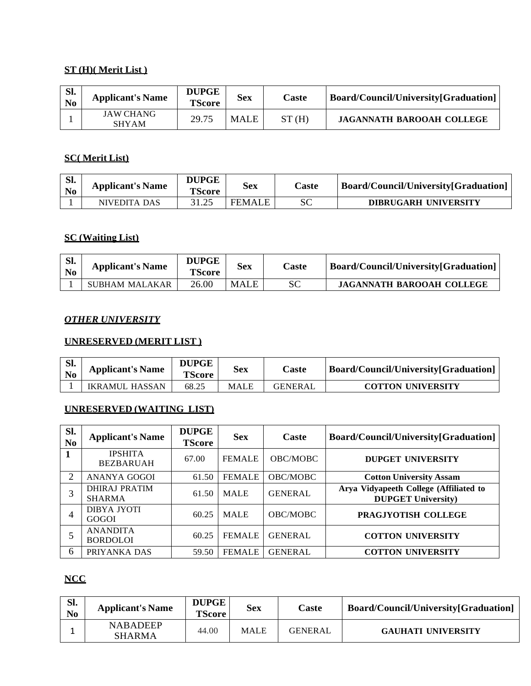# **ST (H)( Merit List )**

| Sl.<br>N <sub>0</sub> | <b>Applicant's Name</b>   | <b>DUPGE</b><br><b>TScore</b> | <b>Sex</b>  | Caste | Board/Council/University[Graduation] |
|-----------------------|---------------------------|-------------------------------|-------------|-------|--------------------------------------|
|                       | JAW CHANG<br><b>SHYAM</b> | 29.75                         | <b>MALE</b> | ST(H) | <b>JAGANNATH BAROOAH COLLEGE</b>     |

# **SC( Merit List)**

| Sl.<br>N <sub>0</sub> | <b>Applicant's Name</b> | <b>DUPGE</b><br><b>TScore</b> | <b>Sex</b>    | Caste | Board/Council/University[Graduation] |
|-----------------------|-------------------------|-------------------------------|---------------|-------|--------------------------------------|
|                       | NIVEDITA DAS            |                               | <b>FEMALE</b> | SС    | <b>DIBRUGARH UNIVERSITY</b>          |

### **SC (Waiting List)**

| Sl.<br>N <sub>0</sub> | <b>Applicant's Name</b> | <b>DUPGE</b><br><b>TScore</b> | <b>Sex</b>  | Caste | Board/Council/University[Graduation] |
|-----------------------|-------------------------|-------------------------------|-------------|-------|--------------------------------------|
|                       | SUBHAM MALAKAR          | 26.00                         | <b>MALE</b> | SC    | JAGANNATH BAROOAH COLLEGE            |

#### *OTHER UNIVERSITY*

### **UNRESERVED (MERIT LIST )**

| Sl. | <b>Applicant's Name</b> | <b>DUPGE</b><br><b>TScore</b> | Sex  | Caste          | Board/Council/University[Graduation] |
|-----|-------------------------|-------------------------------|------|----------------|--------------------------------------|
|     | IKRAMUL HASSAN          | 68.25                         | MALE | <b>GENERAL</b> | <b>COTTON UNIVERSITY</b>             |

# **UNRESERVED (WAITING LIST)**

| Sl.<br>N <sub>0</sub> | <b>Applicant's Name</b>               | <b>DUPGE</b><br><b>TScore</b> | <b>Sex</b>    | Caste           | Board/Council/University[Graduation]                                |
|-----------------------|---------------------------------------|-------------------------------|---------------|-----------------|---------------------------------------------------------------------|
|                       | <b>IPSHITA</b><br><b>BEZBARUAH</b>    | 67.00                         | <b>FEMALE</b> | <b>OBC/MOBC</b> | <b>DUPGET UNIVERSITY</b>                                            |
| 2                     | ANANYA GOGOI                          | 61.50                         | <b>FEMALE</b> | OBC/MOBC        | <b>Cotton University Assam</b>                                      |
| 3                     | <b>DHIRAJ PRATIM</b><br><b>SHARMA</b> | 61.50                         | <b>MALE</b>   | <b>GENERAL</b>  | Arya Vidyapeeth College (Affiliated to<br><b>DUPGET University)</b> |
| 4                     | <b>DIBYA JYOTI</b><br><b>GOGOI</b>    | 60.25                         | <b>MALE</b>   | OBC/MOBC        | PRAGJYOTISH COLLEGE                                                 |
|                       | <b>ANANDITA</b><br><b>BORDOLOI</b>    | 60.25                         | <b>FEMALE</b> | <b>GENERAL</b>  | <b>COTTON UNIVERSITY</b>                                            |
| 6                     | PRIYANKA DAS                          | 59.50                         | <b>FEMALE</b> | <b>GENERAL</b>  | <b>COTTON UNIVERSITY</b>                                            |

# **NCC**

| Sl.<br>N <sub>0</sub> | <b>Applicant's Name</b>          | <b>DUPGE</b><br><b>TScore</b> | <b>Sex</b>  | Caste          | Board/Council/University[Graduation] |
|-----------------------|----------------------------------|-------------------------------|-------------|----------------|--------------------------------------|
|                       | <b>NABADEEP</b><br><b>SHARMA</b> | 44.00                         | <b>MALE</b> | <b>GENERAL</b> | <b>GAUHATI UNIVERSITY</b>            |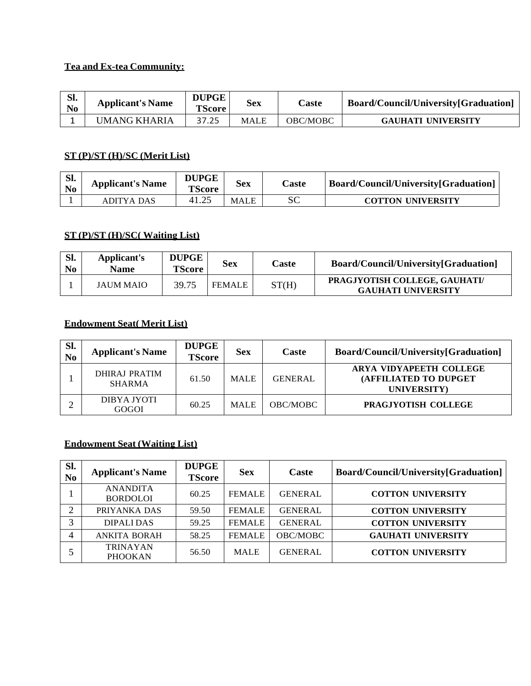# **Tea and Ex-tea Community:**

| Sl.<br>No | <b>Applicant's Name</b> | <b>DUPGE</b><br><b>TScore</b> | Sex  | Caste    | Board/Council/University[Graduation] |
|-----------|-------------------------|-------------------------------|------|----------|--------------------------------------|
|           | UMANG KHARIA            | 37.25                         | MALE | OBC/MOBC | <b>GAUHATI UNIVERSITY</b>            |

# **ST (P)/ST (H)/SC (Merit List)**

| Sl.<br>N <sub>0</sub> | <b>Applicant's Name</b> | <b>DUPGE</b><br><b>TScore</b> | <b>Sex</b>  | <b>Caste</b> | Board/Council/University[Graduation] |
|-----------------------|-------------------------|-------------------------------|-------------|--------------|--------------------------------------|
|                       | ADITYA DAS              | 41.25                         | <b>MALE</b> |              | <b>COTTON UNIVERSITY</b>             |

# **ST (P)/ST (H)/SC( Waiting List)**

| Sl.<br>N <sub>0</sub> | Applicant's<br>Name | <b>DUPGE</b><br><b>TScore</b> | <b>Sex</b>    | Caste | Board/Council/University[Graduation]                       |
|-----------------------|---------------------|-------------------------------|---------------|-------|------------------------------------------------------------|
|                       | <b>JAUM MAIO</b>    | 39.75                         | <b>FEMALE</b> | ST(H) | PRAGJYOTISH COLLEGE, GAUHATI/<br><b>GAUHATI UNIVERSITY</b> |

## **Endowment Seat( Merit List)**

| SI.<br>N <sub>0</sub> | <b>Applicant's Name</b>        | <b>DUPGE</b><br><b>TScore</b> | <b>Sex</b>  | Caste           | Board/Council/University[Graduation]                            |
|-----------------------|--------------------------------|-------------------------------|-------------|-----------------|-----------------------------------------------------------------|
|                       | DHIRAJ PRATIM<br><b>SHARMA</b> | 61.50                         | <b>MALE</b> | <b>GENERAL</b>  | ARYA VIDYAPEETH COLLEGE<br>(AFFILIATED TO DUPGET<br>UNIVERSITY) |
|                       | DIBYA JYOTI<br>GOGOI           | 60.25                         | <b>MALE</b> | <b>OBC/MOBC</b> | PRAGJYOTISH COLLEGE                                             |

# **Endowment Seat (Waiting List)**

| Sl.<br>N <sub>0</sub> | <b>Applicant's Name</b>            | <b>DUPGE</b><br><b>TScore</b> | <b>Sex</b>    | Caste          | Board/Council/University[Graduation] |
|-----------------------|------------------------------------|-------------------------------|---------------|----------------|--------------------------------------|
|                       | <b>ANANDITA</b><br><b>BORDOLOI</b> | 60.25                         | <b>FEMALE</b> | <b>GENERAL</b> | <b>COTTON UNIVERSITY</b>             |
| ↑                     | PRIYANKA DAS                       | 59.50                         | <b>FEMALE</b> | <b>GENERAL</b> | <b>COTTON UNIVERSITY</b>             |
| 3                     | <b>DIPALIDAS</b>                   | 59.25                         | <b>FEMALE</b> | <b>GENERAL</b> | <b>COTTON UNIVERSITY</b>             |
|                       | <b>ANKITA BORAH</b>                | 58.25                         | <b>FEMALE</b> | OBC/MOBC       | <b>GAUHATI UNIVERSITY</b>            |
|                       | <b>TRINAYAN</b><br><b>PHOOKAN</b>  | 56.50                         | <b>MALE</b>   | <b>GENERAL</b> | <b>COTTON UNIVERSITY</b>             |